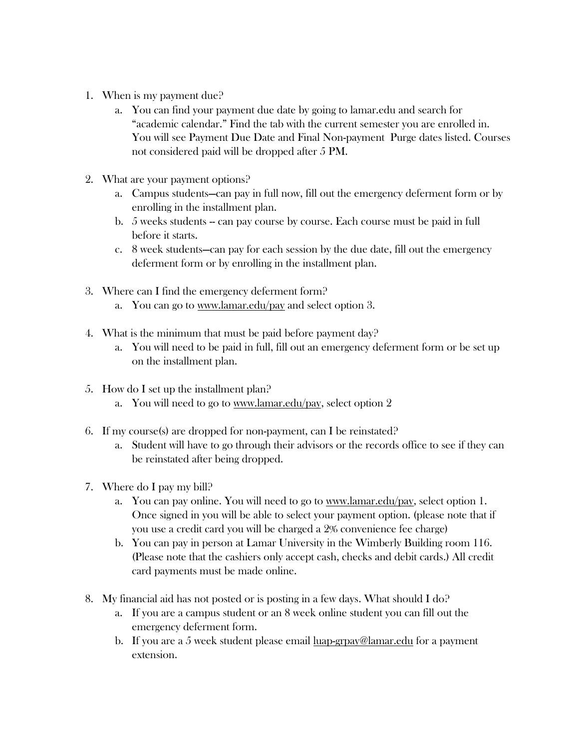- 1. When is my payment due?
	- a. You can find your payment due date by going to lamar.edu and search for "academic calendar." Find the tab with the current semester you are enrolled in. You will see Payment Due Date and Final Non-payment Purge dates listed. Courses not considered paid will be dropped after 5 PM.
- 2. What are your payment options?
	- a. Campus students—can pay in full now, fill out the emergency deferment form or by enrolling in the installment plan.
	- b. 5 weeks students -- can pay course by course. Each course must be paid in full before it starts.
	- c. 8 week students—can pay for each session by the due date, fill out the emergency deferment form or by enrolling in the installment plan.
- 3. Where can I find the emergency deferment form?
	- a. You can go to [www.lamar.edu/pay](http://www.lamar.edu/pay) and select option 3.
- 4. What is the minimum that must be paid before payment day?
	- a. You will need to be paid in full, fill out an emergency deferment form or be set up on the installment plan.
- 5. How do I set up the installment plan?
	- a. You will need to go to [www.lamar.edu/](http://www.lamar.edu/)pay, select option 2
- 6. If my course(s) are dropped for non-payment, can I be reinstated?
	- a. Student will have to go through their advisors or the records office to see if they can be reinstated after being dropped.
- 7. Where do I pay my bill?
	- a. You can pay online. You will need to go to [www.lamar.edu/](http://www.lamar.edu/)pay, select option 1. Once signed in you will be able to select your payment option. (please note that if you use a credit card you will be charged a 2% convenience fee charge)
	- b. You can pay in person at Lamar University in the Wimberly Building room 116. (Please note that the cashiers only accept cash, checks and debit cards.) All credit card payments must be made online.
- 8. My financial aid has not posted or is posting in a few days. What should I do?
	- a. If you are a campus student or an 8 week online student you can fill out the emergency deferment form.
	- b. If you are a 5 week student please email [luap-grpay@lamar.edu](mailto:luap-grpay@lamar.edu) for a payment extension.